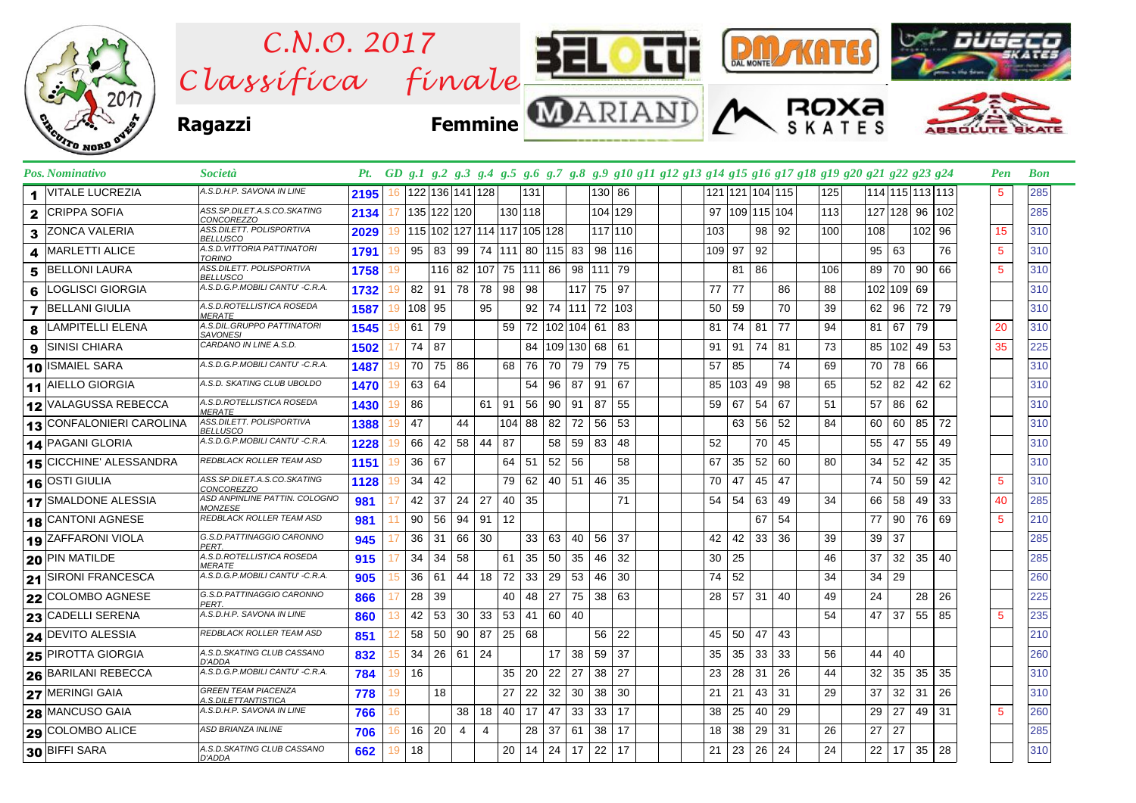

| <b>Pos. Nominativo</b>         | Società                                           |      |     |                 |              |                                |            |         |         |              |                     |        |          | Pt. GD g.1 g.2 g.3 g.4 g.5 g.6 g.7 g.8 g.9 g10 g11 g12 g13 g14 g15 g16 g17 g18 g19 g20 g21 g22 g23 g24 |        |     |         |                 |     |     |                 |     |                 | Pen             | <b>Bon</b> |
|--------------------------------|---------------------------------------------------|------|-----|-----------------|--------------|--------------------------------|------------|---------|---------|--------------|---------------------|--------|----------|--------------------------------------------------------------------------------------------------------|--------|-----|---------|-----------------|-----|-----|-----------------|-----|-----------------|-----------------|------------|
| <b>VITALE LUCREZIA</b><br>1.   | A.S.D.H.P. SAVONA IN LINE                         | 2195 | 16  |                 |              | 122 136 141 128                |            |         | 131     |              |                     | 130 86 |          |                                                                                                        |        |     |         | 121 121 104 115 | 125 |     |                 |     | 114 115 113 113 | 5               | 285        |
| <b>CRIPPA SOFIA</b><br>2       | ASS.SP.DILET.A.S.CO.SKATING<br>CONCOREZZO         | 2134 | 17  |                 | 135 122 120  |                                |            | 130 118 |         |              |                     |        | 104 129  |                                                                                                        | 97     |     |         | 109 115 104     | 113 |     | 127 128 96      |     | 102             |                 | 285        |
| ZONCA VALERIA<br>3             | ASS.DILETT. POLISPORTIVA<br><b>BELLUSCO</b>       | 2029 | 19  |                 |              | 115 102 127 114 117 105 128    |            |         |         |              |                     |        | 117 110  |                                                                                                        | 103    |     |         | 98 92           | 100 | 108 |                 | 102 | 96              | 15              | 310        |
| <b>MARLETTI ALICE</b><br>4     | A.S.D.VITTORIA PATTINATORI<br><b>TORINO</b>       | 1791 | 19  | 95              | 83 I         | 99   74   111   80   115   83  |            |         |         |              |                     |        | 98   116 |                                                                                                        | 109 97 |     | 92      |                 |     |     | 95   63         |     | 76              | 5               | 310        |
| <b>BELLONI LAURA</b><br>5      | ASS.DILETT. POLISPORTIVA<br><b>BELLUSCO</b>       | 1758 | 19  |                 |              | 116 82 107 75 111 86 98 111 79 |            |         |         |              |                     |        |          |                                                                                                        |        | 81  | 86      |                 | 106 | 89  | 70              | 90  | 66              | $5\phantom{.0}$ | 310        |
| LOGLISCI GIORGIA<br>6          | A.S.D.G.P.MOBILI CANTU' -C.R.A                    | 1732 | 19  | 82              | $91 \mid 78$ |                                | 78 98 98   |         |         |              | 117 75              |        | 97       |                                                                                                        | 77     | 77  |         | 86              | 88  |     | 102 109 69      |     |                 |                 | 310        |
| <b>BELLANI GIULIA</b><br>7     | A.S.D.ROTELLISTICA ROSEDA<br><i>MERATE</i>        | 1587 | 19  | 108 95          |              |                                | 95         |         |         |              | 92 74 111 72 103    |        |          |                                                                                                        | 50     | 59  |         | 70              | 39  | 62  | 96              | 72  | 79              |                 | 310        |
| _AMPITELLI ELENA<br>8          | A.S.DIL.GRUPPO PATTINATORI<br><b>SAVONESI</b>     | 1545 | 19  | 61              | 79           |                                |            | 59      |         |              | 72 102 104 61       |        | 83       |                                                                                                        | 81     | 74  | 81      | 77              | 94  | 81  | 67              | 79  |                 | 20              | 310        |
| <b>SINISI CHIARA</b><br>9      | CARDANO IN LINE A.S.D.                            | 1502 |     | 74              | 87           |                                |            |         |         |              | 84   109   130   68 |        | 61       |                                                                                                        | 91     | 91  | 74      | 81              | 73  |     | 85   102        | 49  | 53              | 35              | 225        |
| <b>ISMAIEL SARA</b><br>10      | A.S.D.G.P.MOBILI CANTU' -C.R.A.                   | 1487 | 19  | 70              | 75           | 86                             |            | 68      | 76      | 70           | 79                  | 79     | 75       |                                                                                                        | 57     | 85  |         | 74              | 69  | 70  | 78              | 66  |                 |                 | 310        |
| 11 AIELLO GIORGIA              | A.S.D. SKATING CLUB UBOLDO                        | 1470 | 19  | 63              | 64           |                                |            |         | 54      | 96           | 87                  | 91     | 67       |                                                                                                        | 85     | 103 | 49 98   |                 | 65  | 52  | 82              | 42  | 62              |                 | 310        |
| 12 VALAGUSSA REBECCA           | A.S.D.ROTELLISTICA ROSEDA<br><b>MERATE</b>        | 1430 | 19  | 86              |              |                                | 91<br>61 I |         | 56      | 90           | 91                  | 87     | 55       |                                                                                                        | 59     | 67  | 54      | 67              | 51  | 57  | 86              | 62  |                 |                 | 310        |
| CONFALONIERI CAROLINA<br>13    | ASS.DILETT. POLISPORTIVA<br><b>BELLUSCO</b>       | 1388 |     | 47              |              | 44                             |            | 104 88  |         | 82 72        |                     | 56     | 53       |                                                                                                        |        | 63  | 56      | 52              | 84  | 60  | 60              | 85  | 72              |                 | 310        |
| 14 PAGANI GLORIA               | A.S.D.G.P.MOBILI CANTU' -C.R.A.                   | 1228 |     | 66              | 42           | 58 44                          | 87         |         |         | 58           | 59                  | 83     | 48       |                                                                                                        | 52     |     |         | 70 45           |     | 55  | 47              | 55  | 49              |                 | 310        |
| <b>15 CICCHINE' ALESSANDRA</b> | <b>REDBLACK ROLLER TEAM ASD</b>                   | 1151 | 19  | 36              | 67           |                                |            | $64$ 51 |         | $52 \mid 56$ |                     |        | 58       |                                                                                                        | 67     | 35  |         | $52 \mid 60$    | 80  | 34  | 52              | 42  | 35              |                 | 310        |
| 16 OSTI GIULIA                 | ASS.SP.DILET.A.S.CO.SKATING<br><b>CONCOREZZO</b>  | 1128 | 19  | 34              | 42           |                                |            | 79 62   |         |              | 40   51             | 46     | 35       |                                                                                                        | 70     | 47  | 45 47   |                 |     |     | 74 50           | 59  | 42              | $5\phantom{.0}$ | 310        |
| 17 SMALDONE ALESSIA            | ASD ANPINLINE PATTIN. COLOGNO<br><b>MONZESE</b>   | 981  |     | 42              | 37           | 24<br>27                       |            | 40 35   |         |              |                     |        | 71       |                                                                                                        | 54     | 54  |         | 63 49           | 34  |     | 66 58           | 49  | 33              | 40              | 285        |
| <b>CANTONI AGNESE</b><br>18    | REDBLACK ROLLER TEAM ASD                          | 981  |     | 90              | 56           | 94                             | 91         | 12      |         |              |                     |        |          |                                                                                                        |        |     | 67      | 54              |     | 77  | 90              | 76  | 69              | 5               | 210        |
| 19 ZAFFARONI VIOLA             | G.S.D.PATTINAGGIO CARONNO<br>PERT.                | 945  |     | 36              | 31           | 66<br>30                       |            |         | 33   63 |              | 40                  | 56     | -37      |                                                                                                        | 42     | 42  |         | $33 \mid 36$    | 39  |     | 39 37           |     |                 |                 | 285        |
| 20 PIN MATILDE                 | A.S.D.ROTELLISTICA ROSEDA<br><b>MERATE</b>        | 915  |     | 34              | 34           | 58                             |            | 61      | 35      | 50           | 35                  | 46     | 32       |                                                                                                        | 30     | 25  |         |                 | 46  | 37  | 32 <sup>1</sup> | 35  | 40              |                 | 285        |
| 21 SIRONI FRANCESCA            | A.S.D.G.P.MOBILI CANTU' -C.R.A.                   | 905  | 15  | 36              | 61 I         | 44   18                        |            | 72      | 33      | 29           | 53                  | 46     | 30       |                                                                                                        | 74     | 52  |         |                 | 34  | 34  | 29              |     |                 |                 | 260        |
| COLOMBO AGNESE<br>22           | G.S.D.PATTINAGGIO CARONNO<br>PERT.                | 866  |     | 28              | -39          |                                |            | 40      | 48      | 27           | 75                  | 38     | 63       |                                                                                                        | 28     | 57  | 31      | 40              | 49  | 24  |                 | 28  | 26              |                 | 225        |
| <b>CADELLI SERENA</b><br>23    | A.S.D.H.P. SAVONA IN LINE                         | 860  | 13  | 42              | 53           | 30                             | 33         | 53      | 41      | 60 40        |                     |        |          |                                                                                                        |        |     |         |                 | 54  |     | $47 \mid 37$    | 55  | 85              | 5               | 235        |
| <b>DEVITO ALESSIA</b><br>24    | REDBLACK ROLLER TEAM ASD                          | 851  |     | 58              | 50           | 90                             | 87         | 25 68   |         |              |                     | 56     | 22       |                                                                                                        | 45     | 50  | 47      | 43              |     |     |                 |     |                 |                 | 210        |
| 25 PIROTTA GIORGIA             | A.S.D.SKATING CLUB CASSANO<br>D'ADDA              | 832  | 15  | 34              | 26 61        | 24                             |            |         |         | 17           | 38                  | 59     | 37       |                                                                                                        | 35     | 35  |         | 33 33           | 56  | 44  | 40              |     |                 |                 | 260        |
| <b>BARILANI REBECCA</b><br>26  | A.S.D.G.P.MOBILI CANTU' -C.R.A.                   | 784  | 19  | 16              |              |                                |            | 35      | 20      | 22           | 27                  | 38     | 27       |                                                                                                        | 23     | 28  | 31      | 26              | 44  | 32  | 35              | 35  | 35              |                 | 310        |
| 27 MERINGI GAIA                | <b>GREEN TEAM PIACENZA</b><br>A.S.DILETTANTISTICA | 778  | 19  |                 | 18           |                                |            | 27      | 22      | 32           | 30                  | 38     | 30       |                                                                                                        | 21     | 21  | 43      | 31              | 29  | 37  | 32              | 31  | 26              |                 | 310        |
| 28 MANCUSO GAIA                | A.S.D.H.P. SAVONA IN LINE                         | 766  | 16  |                 |              | 38                             | 18         | 40   17 |         | 47           | 33                  | 33     | 17       |                                                                                                        | 38     | 25  |         | 40 29           |     | 29  | 27              | 49  | -31             | -5              | 260        |
| 29 COLOMBO ALICE               | <b>ASD BRIANZA INLINE</b>                         | 706  | 16. | 16 <sup>1</sup> | 20           | 4                              | 4          |         | 28      | 37           | 61                  | 38     | 17       |                                                                                                        | 18     | 38  | $29$ 31 |                 | 26  | 27  | 27              |     |                 |                 | 285        |
| 30 BIFFI SARA                  | A.S.D.SKATING CLUB CASSANO<br>D'ADDA              | 662  | 19  | 18              |              |                                |            | 20 14   |         | 24 17        |                     | 22     | 17       |                                                                                                        | 21     | 23  | $26$ 24 |                 | 24  |     | $22$ 17         | 35  | 28              |                 | 310        |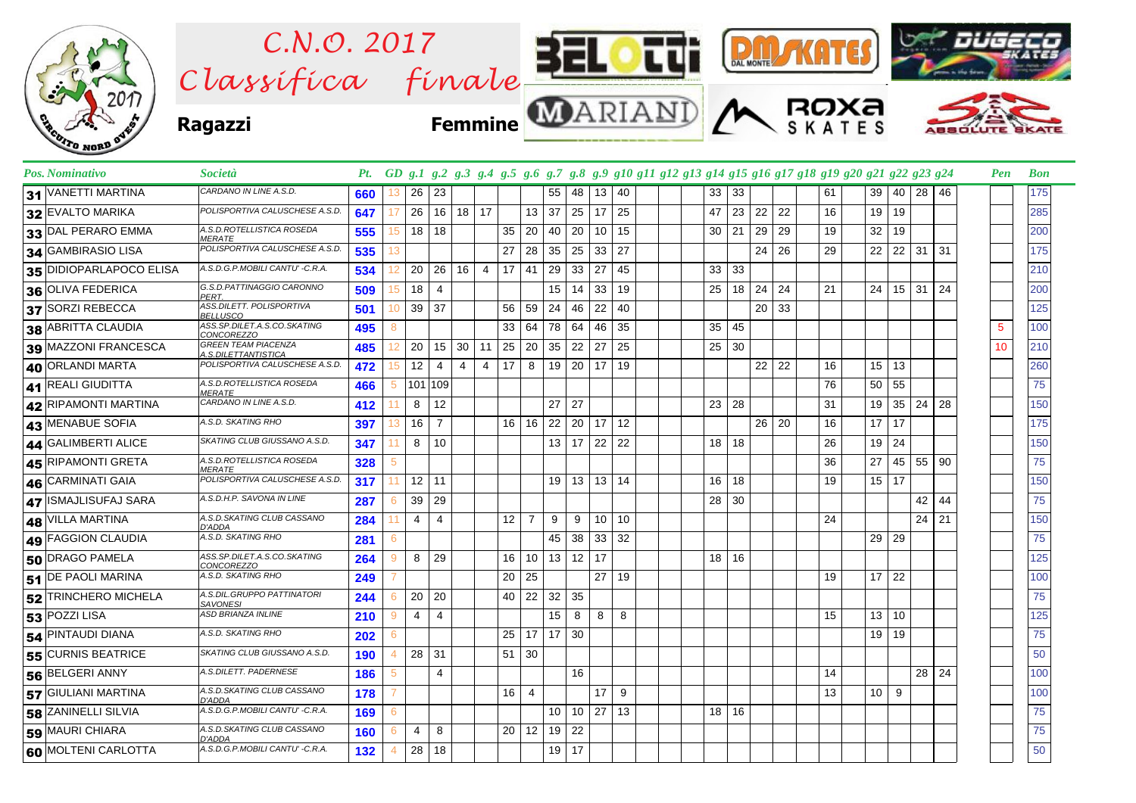

| Pos. Nominativo                     | Società                                           |     |                      |                |                |                |                                   |          |              |                 | Pt. GD g.1 g.2 g.3 g.4 g.5 g.6 g.7 g.8 g.9 g10 g11 g12 g13 g14 g15 g16 g17 g18 g19 g20 g21 g22 g23 g24 |    |         |              |    |    |                 |    |                        |    | Pen | <b>Bon</b> |
|-------------------------------------|---------------------------------------------------|-----|----------------------|----------------|----------------|----------------|-----------------------------------|----------|--------------|-----------------|--------------------------------------------------------------------------------------------------------|----|---------|--------------|----|----|-----------------|----|------------------------|----|-----|------------|
| 31 VANETTI MARTINA                  | CARDANO IN LINE A.S.D.                            | 660 | 26<br>13             | 23             |                |                |                                   | 55       | 48           | 13              | 40                                                                                                     | 33 | 33      |              |    | 61 | 39              | 40 | 28 46                  |    |     | 175        |
| 32 EVALTO MARIKA                    | POLISPORTIVA CALUSCHESE A.S.D.                    | 647 | 26<br>17             | 16             | $18$ 17        |                |                                   | 13<br>37 | 25           | 17              | 25                                                                                                     | 47 | 23      | 22           | 22 | 16 | 19              | 19 |                        |    |     | 285        |
| 33 DAL PERARO EMMA                  | A.S.D.ROTELLISTICA ROSEDA<br><b>MERATE</b>        | 555 | 18<br>15             | 18             |                |                | 35                                | 20<br>40 | 20           | 10 <sup>°</sup> | 15                                                                                                     | 30 | 21      | 29           | 29 | 19 | 32              | 19 |                        |    |     | 200        |
| 34 GAMBIRASIO LISA                  | POLISPORTIVA CALUSCHESE A.S.D.                    | 535 | 13                   |                |                |                | 27                                | 28<br>35 | 25           | 33              | 27                                                                                                     |    |         | 24           | 26 | 29 | 22              | 22 | $31$ 31                |    |     | 175        |
| 35 DIDIOPARLAPOCO ELISA             | A.S.D.G.P.MOBILI CANTU' -C.R.A.                   | 534 | 20<br>12             | 26             | 16             | $\overline{4}$ | 17                                | 41<br>29 | 33           | 27              | 45                                                                                                     | 33 | 33      |              |    |    |                 |    |                        |    |     | 210        |
| 36 OLIVA FEDERICA                   | G.S.D.PATTINAGGIO CARONNO<br><b>PERT</b>          | 509 | 18<br>15             | $\overline{4}$ |                |                |                                   |          | $15$ 14      | 33              | 19                                                                                                     | 25 |         | 18 24        | 24 | 21 | 24              |    | $15 \vert 31 \vert 24$ |    |     | 200        |
| 37 SORZI REBECCA                    | ASS.DILETT. POLISPORTIVA<br><b>BELLUSCO</b>       | 501 | 39<br>10             | 37             |                |                | 56                                | 59<br>24 | 46           | 22              | 40                                                                                                     |    |         | $20 \mid 33$ |    |    |                 |    |                        |    |     | 125        |
| 38 ABRITTA CLAUDIA                  | ASS.SP.DILET.A.S.CO.SKATING<br><b>CONCOREZZO</b>  | 495 | 8                    |                |                |                | 33<br>64                          | 78       | 64           | 46              | 35                                                                                                     | 35 | 45      |              |    |    |                 |    |                        |    | 5   | 100        |
| 39 MAZZONI FRANCESCA                | <b>GREEN TEAM PIACENZA</b><br>A.S.DILETTANTISTICA | 485 | 20<br>12             | 15             | 30             | 25<br>11       |                                   | 35<br>20 | 22           | 27              | 25                                                                                                     | 25 | 30      |              |    |    |                 |    |                        |    | 10  | 210        |
| 40 ORLANDI MARTA                    | POLISPORTIVA CALUSCHESE A.S.D.                    | 472 | 12<br>15             | 4              | $\overline{4}$ | $\overline{4}$ | 17                                | 8<br>19  | 20           | 17              | 19                                                                                                     |    |         | $22$ 22      |    | 16 | 15              | 13 |                        |    |     | 260        |
| 41 REALI GIUDITTA                   | A.S.D.ROTELLISTICA ROSEDA<br><b>MERATE</b>        | 466 | 5                    | 101 109        |                |                |                                   |          |              |                 |                                                                                                        |    |         |              |    | 76 | 50              | 55 |                        |    |     | 75         |
| 42 RIPAMONTI MARTINA                | CARDANO IN LINE A.S.D.                            | 412 | 8<br>11              | 12             |                |                |                                   | 27       | 27           |                 |                                                                                                        | 23 | 28      |              |    | 31 | 19              | 35 | 24                     | 28 |     | 150        |
| 43 MENABUE SOFIA                    | A.S.D. SKATING RHO                                | 397 | 16<br>13             | $\overline{7}$ |                |                | 16                                | 16       | $22 \mid 20$ | 17 <sup>1</sup> | 12                                                                                                     |    |         | 26 20        |    | 16 | 17              | 17 |                        |    |     | 175        |
| 44 GALIMBERTI ALICE                 | SKATING CLUB GIUSSANO A.S.D.                      | 347 | 8<br>11              | 10             |                |                |                                   |          | $13 \mid 17$ | 22              | 22                                                                                                     | 18 | 18      |              |    | 26 | 19              | 24 |                        |    |     | 150        |
| 45 RIPAMONTI GRETA                  | A.S.D.ROTELLISTICA ROSEDA<br><b>MERATE</b>        | 328 | 5                    |                |                |                |                                   |          |              |                 |                                                                                                        |    |         |              |    | 36 | 27              | 45 | 55                     | 90 |     | 75         |
| 46 CARMINATI GAIA                   | POLISPORTIVA CALUSCHESE A.S.D.                    | 317 | 12<br>11             | 11             |                |                |                                   |          | $19$ 13      | 13              | 14                                                                                                     | 16 | 18      |              |    | 19 | 15              | 17 |                        |    |     | 150        |
| 47 ISMAJLISUFAJ SARA                | A.S.D.H.P. SAVONA IN LINE                         | 287 | 39<br>6              | 29             |                |                |                                   |          |              |                 |                                                                                                        | 28 | 30      |              |    |    |                 |    | 42                     | 44 |     | 75         |
| 48 VILLA MARTINA                    | A.S.D.SKATING CLUB CASSANO<br>D'ADDA              | 284 | $\overline{4}$<br>11 | $\overline{4}$ |                |                | 12 <sup>°</sup><br>$\overline{7}$ | 9        | 9            | 10 <sup>°</sup> | 10                                                                                                     |    |         |              |    | 24 |                 |    | $24$ 21                |    |     | 150        |
| 49 FAGGION CLAUDIA                  | A.S.D. SKATING RHO                                | 281 | 6                    |                |                |                |                                   | 45       | 38           | 33              | 32                                                                                                     |    |         |              |    |    | 29              | 29 |                        |    |     | 75         |
| 50 DRAGO PAMELA                     | ASS.SP.DILET.A.S.CO.SKATING<br>CONCOREZZO         | 264 | 8<br>9               | 29             |                |                | 16                                | 10       | $13 \mid 12$ | 17              |                                                                                                        |    | 18 16   |              |    |    |                 |    |                        |    |     | 125        |
| 51 DE PAOLI MARINA                  | A.S.D. SKATING RHO                                | 249 |                      |                |                |                | 25<br>20                          |          |              | 27              | 19                                                                                                     |    |         |              |    | 19 | 17              | 22 |                        |    |     | 100        |
| 52 TRINCHERO MICHELA                | A.S.DIL.GRUPPO PATTINATORI<br><b>SAVONESI</b>     | 244 | 20<br>6              | 20             |                |                | 40                                | 22       | $32 \mid 35$ |                 |                                                                                                        |    |         |              |    |    |                 |    |                        |    |     | 75         |
| $\overline{\textbf{53}}$ POZZI LISA | ASD BRIANZA INLINE                                | 210 | 4<br>9               | 4              |                |                |                                   | 15       | 8            | 8               | 8                                                                                                      |    |         |              |    | 15 | 13 <sup>1</sup> | 10 |                        |    |     | 125        |
| 54 PINTAUDI DIANA                   | A.S.D. SKATING RHO                                | 202 | 6                    |                |                |                | 25                                | 17       | 17 30        |                 |                                                                                                        |    |         |              |    |    | 19 19           |    |                        |    |     | 75         |
| 55 CURNIS BEATRICE                  | SKATING CLUB GIUSSANO A.S.D.                      | 190 | 28<br>4              | 31             |                |                | 30<br>51                          |          |              |                 |                                                                                                        |    |         |              |    |    |                 |    |                        |    |     | 50         |
| 56 BELGERI ANNY                     | A.S.DILETT. PADERNESE                             | 186 | 5                    | 4              |                |                |                                   |          | 16           |                 |                                                                                                        |    |         |              |    | 14 |                 |    | 28 <sub>1</sub>        | 24 |     | 100        |
| 57 GIULIANI MARTINA                 | A.S.D.SKATING CLUB CASSANO<br>D'ADDA              | 178 |                      |                |                |                | 16<br>4                           |          |              | 17              | 9                                                                                                      |    |         |              |    | 13 | 10              | 9  |                        |    |     | 100        |
| 58 ZANINELLI SILVIA                 | A.S.D.G.P.MOBILI CANTU' -C.R.A.                   | 169 | 6                    |                |                |                |                                   |          | 10 10        | 27              | 13                                                                                                     |    | $18$ 16 |              |    |    |                 |    |                        |    |     | 75         |
| 59 MAURI CHIARA                     | A.S.D.SKATING CLUB CASSANO<br>D'ADDA              | 160 | 4<br>6               | 8              |                |                | 20 <sup>1</sup>                   | 12       | $19$ 22      |                 |                                                                                                        |    |         |              |    |    |                 |    |                        |    |     | 75         |
| 60 MOLTENI CARLOTTA                 | A.S.D.G.P.MOBILI CANTU' -C.R.A.                   | 132 | 28<br>4              | 18             |                |                |                                   |          | $19$ 17      |                 |                                                                                                        |    |         |              |    |    |                 |    |                        |    |     | 50         |